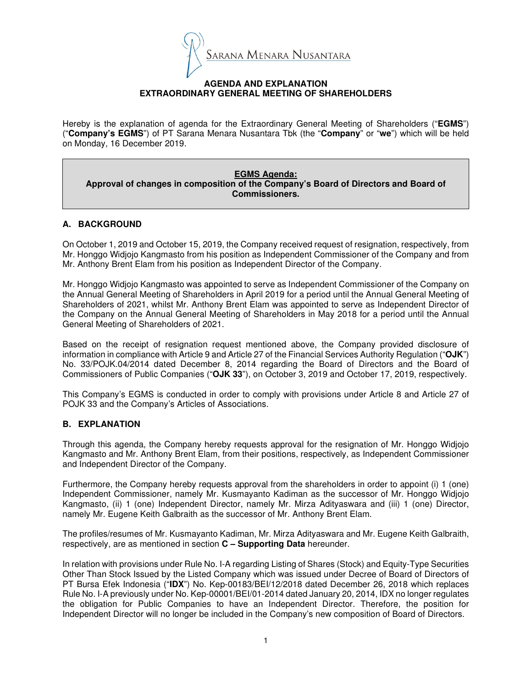

### **AGENDA AND EXPLANATION EXTRAORDINARY GENERAL MEETING OF SHAREHOLDERS**

Hereby is the explanation of agenda for the Extraordinary General Meeting of Shareholders ("**EGMS**") ("**Company's EGMS**") of PT Sarana Menara Nusantara Tbk (the "**Company**" or "**we**") which will be held on Monday, 16 December 2019.

**EGMS Agenda: Approval of changes in composition of the Company's Board of Directors and Board of Commissioners.** 

# **A. BACKGROUND**

On October 1, 2019 and October 15, 2019, the Company received request of resignation, respectively, from Mr. Honggo Widjojo Kangmasto from his position as Independent Commissioner of the Company and from Mr. Anthony Brent Elam from his position as Independent Director of the Company.

Mr. Honggo Widjojo Kangmasto was appointed to serve as Independent Commissioner of the Company on the Annual General Meeting of Shareholders in April 2019 for a period until the Annual General Meeting of Shareholders of 2021, whilst Mr. Anthony Brent Elam was appointed to serve as Independent Director of the Company on the Annual General Meeting of Shareholders in May 2018 for a period until the Annual General Meeting of Shareholders of 2021.

Based on the receipt of resignation request mentioned above, the Company provided disclosure of information in compliance with Article 9 and Article 27 of the Financial Services Authority Regulation ("**OJK**") No. 33/POJK.04/2014 dated December 8, 2014 regarding the Board of Directors and the Board of Commissioners of Public Companies ("**OJK 33**"), on October 3, 2019 and October 17, 2019, respectively.

This Company's EGMS is conducted in order to comply with provisions under Article 8 and Article 27 of POJK 33 and the Company's Articles of Associations.

# **B. EXPLANATION**

Through this agenda, the Company hereby requests approval for the resignation of Mr. Honggo Widjojo Kangmasto and Mr. Anthony Brent Elam, from their positions, respectively, as Independent Commissioner and Independent Director of the Company.

Furthermore, the Company hereby requests approval from the shareholders in order to appoint (i) 1 (one) Independent Commissioner, namely Mr. Kusmayanto Kadiman as the successor of Mr. Honggo Widjojo Kangmasto, (ii) 1 (one) Independent Director, namely Mr. Mirza Adityaswara and (iii) 1 (one) Director, namely Mr. Eugene Keith Galbraith as the successor of Mr. Anthony Brent Elam.

The profiles/resumes of Mr. Kusmayanto Kadiman, Mr. Mirza Adityaswara and Mr. Eugene Keith Galbraith, respectively, are as mentioned in section **C – Supporting Data** hereunder.

In relation with provisions under Rule No. I-A regarding Listing of Shares (Stock) and Equity-Type Securities Other Than Stock Issued by the Listed Company which was issued under Decree of Board of Directors of PT Bursa Efek Indonesia ("**IDX**") No. Kep-00183/BEI/12/2018 dated December 26, 2018 which replaces Rule No. I-A previously under No. Kep-00001/BEI/01-2014 dated January 20, 2014, IDX no longer regulates the obligation for Public Companies to have an Independent Director. Therefore, the position for Independent Director will no longer be included in the Company's new composition of Board of Directors.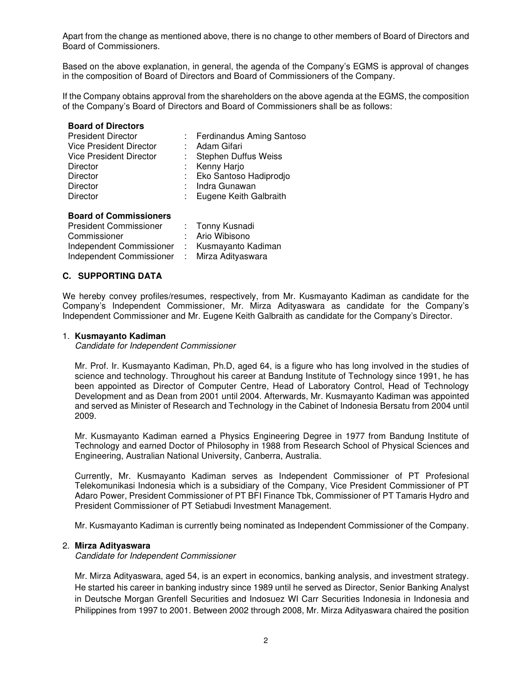Apart from the change as mentioned above, there is no change to other members of Board of Directors and Board of Commissioners.

Based on the above explanation, in general, the agenda of the Company's EGMS is approval of changes in the composition of Board of Directors and Board of Commissioners of the Company.

If the Company obtains approval from the shareholders on the above agenda at the EGMS, the composition of the Company's Board of Directors and Board of Commissioners shall be as follows:

# **Board of Directors**

| <b>President Director</b><br><b>Vice President Director</b><br><b>Vice President Director</b><br>Director<br><b>Director</b><br><b>Director</b> | : Ferdinandus Aming Santoso<br>: Adam Gifari<br>: Stephen Duffus Weiss<br>: Kenny Harjo<br>: Eko Santoso Hadiprodio<br>: Indra Gunawan |
|-------------------------------------------------------------------------------------------------------------------------------------------------|----------------------------------------------------------------------------------------------------------------------------------------|
| <b>Director</b>                                                                                                                                 | : Eugene Keith Galbraith                                                                                                               |

## **Board of Commissioners**

| <b>President Commissioner</b> |      | : Tonny Kusnadi    |
|-------------------------------|------|--------------------|
| Commissioner                  |      | : Ario Wibisono    |
| Independent Commissioner      |      | Kusmayanto Kadiman |
| Independent Commissioner      | - 11 | Mirza Adityaswara  |

# **C. SUPPORTING DATA**

We hereby convey profiles/resumes, respectively, from Mr. Kusmayanto Kadiman as candidate for the Company's Independent Commissioner, Mr. Mirza Adityaswara as candidate for the Company's Independent Commissioner and Mr. Eugene Keith Galbraith as candidate for the Company's Director.

#### 1. **Kusmayanto Kadiman**

Candidate for Independent Commissioner

Mr. Prof. Ir. Kusmayanto Kadiman, Ph.D, aged 64, is a figure who has long involved in the studies of science and technology. Throughout his career at Bandung Institute of Technology since 1991, he has been appointed as Director of Computer Centre, Head of Laboratory Control, Head of Technology Development and as Dean from 2001 until 2004. Afterwards, Mr. Kusmayanto Kadiman was appointed and served as Minister of Research and Technology in the Cabinet of Indonesia Bersatu from 2004 until 2009.

Mr. Kusmayanto Kadiman earned a Physics Engineering Degree in 1977 from Bandung Institute of Technology and earned Doctor of Philosophy in 1988 from Research School of Physical Sciences and Engineering, Australian National University, Canberra, Australia.

Currently, Mr. Kusmayanto Kadiman serves as Independent Commissioner of PT Profesional Telekomunikasi Indonesia which is a subsidiary of the Company, Vice President Commissioner of PT Adaro Power, President Commissioner of PT BFI Finance Tbk, Commissioner of PT Tamaris Hydro and President Commissioner of PT Setiabudi Investment Management.

Mr. Kusmayanto Kadiman is currently being nominated as Independent Commissioner of the Company.

# 2. **Mirza Adityaswara**

Candidate for Independent Commissioner

Mr. Mirza Adityaswara, aged 54, is an expert in economics, banking analysis, and investment strategy. He started his career in banking industry since 1989 until he served as Director, Senior Banking Analyst in Deutsche Morgan Grenfell Securities and Indosuez WI Carr Securities Indonesia in Indonesia and Philippines from 1997 to 2001. Between 2002 through 2008, Mr. Mirza Adityaswara chaired the position